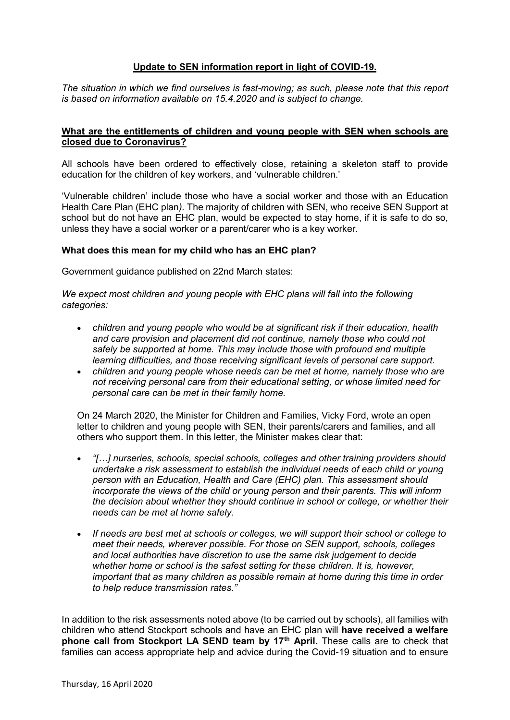# **Update to SEN information report in light of COVID-19.**

*The situation in which we find ourselves is fast-moving; as such, please note that this report is based on information available on 15.4.2020 and is subject to change.*

### **What are the entitlements of children and young people with SEN when schools are closed due to Coronavirus?**

All schools have been ordered to effectively close, retaining a skeleton staff to provide education for the children of key workers, and 'vulnerable children.'

'Vulnerable children' include those who have a social worker and those with an Education Health Care Plan (EHC plan*).* The majority of children with SEN, who receive SEN Support at school but do not have an EHC plan, would be expected to stay home, if it is safe to do so, unless they have a social worker or a parent/carer who is a key worker.

### **What does this mean for my child who has an EHC plan?**

Government guidance published on 22nd March states:

*We expect most children and young people with EHC plans will fall into the following categories:*

- *children and young people who would be at significant risk if their education, health and care provision and placement did not continue, namely those who could not safely be supported at home. This may include those with profound and multiple learning difficulties, and those receiving significant levels of personal care support.*
- *children and young people whose needs can be met at home, namely those who are not receiving personal care from their educational setting, or whose limited need for personal care can be met in their family home.*

On 24 March 2020, the Minister for Children and Families, Vicky Ford, wrote an open letter to children and young people with SEN, their parents/carers and families, and all others who support them. In this letter, the Minister makes clear that:

- *"[…] nurseries, schools, special schools, colleges and other training providers should undertake a risk assessment to establish the individual needs of each child or young person with an Education, Health and Care (EHC) plan. This assessment should incorporate the views of the child or young person and their parents. This will inform the decision about whether they should continue in school or college, or whether their needs can be met at home safely.*
- *If needs are best met at schools or colleges, we will support their school or college to meet their needs, wherever possible. For those on SEN support, schools, colleges and local authorities have discretion to use the same risk judgement to decide whether home or school is the safest setting for these children. It is, however, important that as many children as possible remain at home during this time in order to help reduce transmission rates."*

In addition to the risk assessments noted above (to be carried out by schools), all families with children who attend Stockport schools and have an EHC plan will **have received a welfare phone call from Stockport LA SEND team by 17th April.** These calls are to check that families can access appropriate help and advice during the Covid-19 situation and to ensure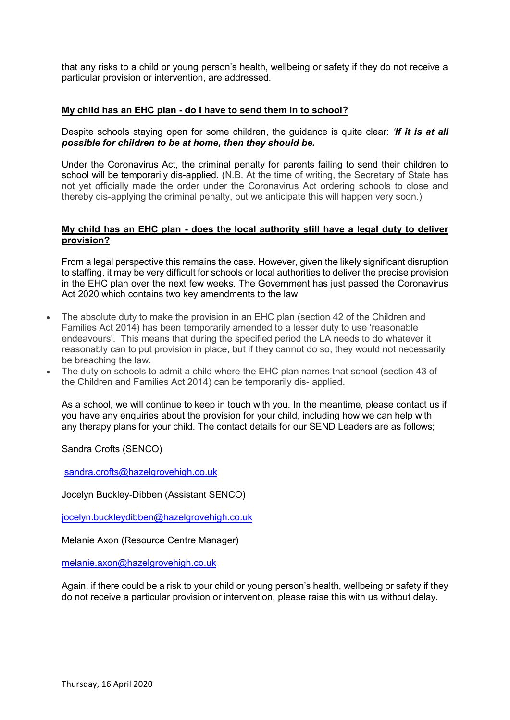that any risks to a child or young person's health, wellbeing or safety if they do not receive a particular provision or intervention, are addressed.

## **My child has an EHC plan - do I have to send them in to school?**

Despite schools staying open for some children, the guidance is quite clear: *'If it is at all possible for children to be at home, then they should be.*

Under the Coronavirus Act, the criminal penalty for parents failing to send their children to school will be temporarily dis-applied. (N.B. At the time of writing, the Secretary of State has not yet officially made the order under the Coronavirus Act ordering schools to close and thereby dis-applying the criminal penalty, but we anticipate this will happen very soon.)

## **My child has an EHC plan - does the local authority still have a legal duty to deliver provision?**

From a legal perspective this remains the case. However, given the likely significant disruption to staffing, it may be very difficult for schools or local authorities to deliver the precise provision in the EHC plan over the next few weeks. The Government has just passed the Coronavirus Act 2020 which contains two key amendments to the law:

- The absolute duty to make the provision in an EHC plan (section 42 of the Children and Families Act 2014) has been temporarily amended to a lesser duty to use 'reasonable endeavours'. This means that during the specified period the LA needs to do whatever it reasonably can to put provision in place, but if they cannot do so, they would not necessarily be breaching the law.
- The duty on schools to admit a child where the EHC plan names that school (section 43 of the Children and Families Act 2014) can be temporarily dis- applied.

As a school, we will continue to keep in touch with you. In the meantime, please contact us if you have any enquiries about the provision for your child, including how we can help with any therapy plans for your child. The contact details for our SEND Leaders are as follows;

Sandra Crofts (SENCO)

[sandra.crofts@hazelgrovehigh.co.uk](mailto:sandra.crofts@hazelgrovehigh.co.uk)

Jocelyn Buckley-Dibben (Assistant SENCO)

[jocelyn.buckleydibben@hazelgrovehigh.co.uk](mailto:jocelyn.buckleydibben@hazelgrovehigh.co.uk)

Melanie Axon (Resource Centre Manager)

[melanie.axon@hazelgrovehigh.co.uk](mailto:melanie.axon@hazelgrovehigh.co.uk)

Again, if there could be a risk to your child or young person's health, wellbeing or safety if they do not receive a particular provision or intervention, please raise this with us without delay.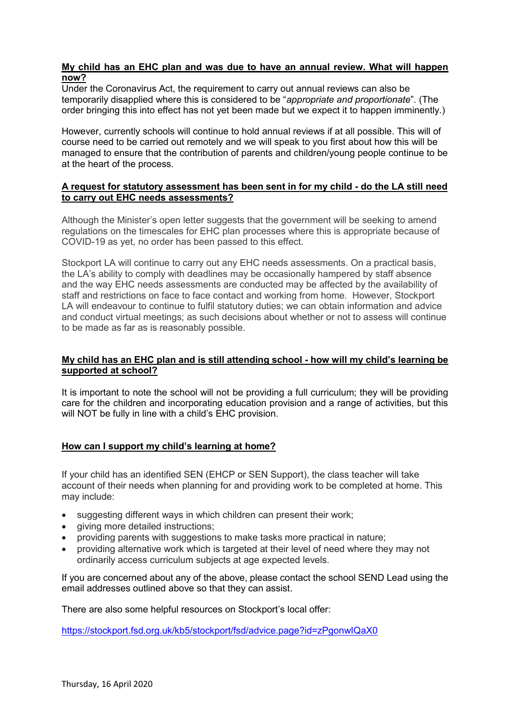## **My child has an EHC plan and was due to have an annual review. What will happen now?**

Under the Coronavirus Act, the requirement to carry out annual reviews can also be temporarily disapplied where this is considered to be "*appropriate and proportionate*". (The order bringing this into effect has not yet been made but we expect it to happen imminently.)

However, currently schools will continue to hold annual reviews if at all possible. This will of course need to be carried out remotely and we will speak to you first about how this will be managed to ensure that the contribution of parents and children/young people continue to be at the heart of the process.

## **A request for statutory assessment has been sent in for my child - do the LA still need to carry out EHC needs assessments?**

Although the Minister's open letter suggests that the government will be seeking to amend regulations on the timescales for EHC plan processes where this is appropriate because of COVID-19 as yet, no order has been passed to this effect.

Stockport LA will continue to carry out any EHC needs assessments. On a practical basis, the LA's ability to comply with deadlines may be occasionally hampered by staff absence and the way EHC needs assessments are conducted may be affected by the availability of staff and restrictions on face to face contact and working from home. However, Stockport LA will endeavour to continue to fulfil statutory duties; we can obtain information and advice and conduct virtual meetings; as such decisions about whether or not to assess will continue to be made as far as is reasonably possible.

## **My child has an EHC plan and is still attending school - how will my child's learning be supported at school?**

It is important to note the school will not be providing a full curriculum; they will be providing care for the children and incorporating education provision and a range of activities, but this will NOT be fully in line with a child's EHC provision.

## **How can I support my child's learning at home?**

If your child has an identified SEN (EHCP or SEN Support), the class teacher will take account of their needs when planning for and providing work to be completed at home. This may include:

- suggesting different ways in which children can present their work;
- giving more detailed instructions;
- providing parents with suggestions to make tasks more practical in nature;
- providing alternative work which is targeted at their level of need where they may not ordinarily access curriculum subjects at age expected levels.

If you are concerned about any of the above, please contact the school SEND Lead using the email addresses outlined above so that they can assist.

There are also some helpful resources on Stockport's local offer:

<https://stockport.fsd.org.uk/kb5/stockport/fsd/advice.page?id=zPgonwIQaX0>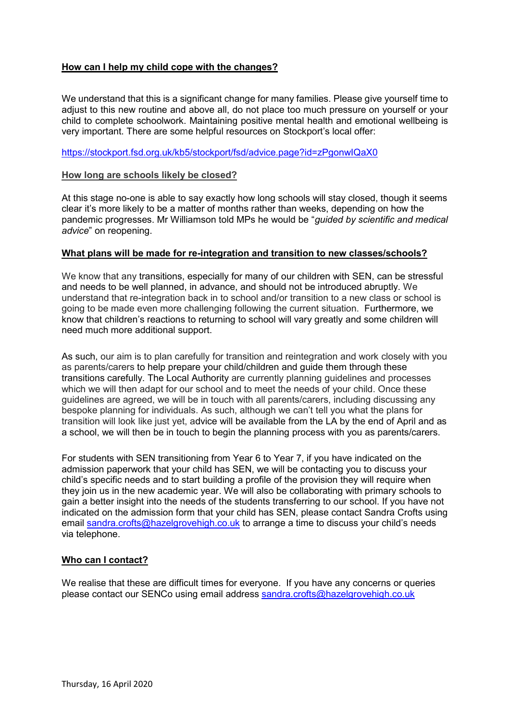# **How can I help my child cope with the changes?**

We understand that this is a significant change for many families. Please give yourself time to adjust to this new routine and above all, do not place too much pressure on yourself or your child to complete schoolwork. Maintaining positive mental health and emotional wellbeing is very important. There are some helpful resources on Stockport's local offer:

# <https://stockport.fsd.org.uk/kb5/stockport/fsd/advice.page?id=zPgonwIQaX0>

### **How long are schools likely be closed?**

At this stage no-one is able to say exactly how long schools will stay closed, though it seems clear it's more likely to be a matter of months rather than weeks, depending on how the pandemic progresses. Mr Williamson told MPs he would be "*guided by scientific and medical advice*" on reopening.

### **What plans will be made for re-integration and transition to new classes/schools?**

We know that any transitions, especially for many of our children with SEN, can be stressful and needs to be well planned, in advance, and should not be introduced abruptly. We understand that re-integration back in to school and/or transition to a new class or school is going to be made even more challenging following the current situation. Furthermore, we know that children's reactions to returning to school will vary greatly and some children will need much more additional support.

As such, our aim is to plan carefully for transition and reintegration and work closely with you as parents/carers to help prepare your child/children and guide them through these transitions carefully. The Local Authority are currently planning guidelines and processes which we will then adapt for our school and to meet the needs of your child. Once these guidelines are agreed, we will be in touch with all parents/carers, including discussing any bespoke planning for individuals. As such, although we can't tell you what the plans for transition will look like just yet, advice will be available from the LA by the end of April and as a school, we will then be in touch to begin the planning process with you as parents/carers.

For students with SEN transitioning from Year 6 to Year 7, if you have indicated on the admission paperwork that your child has SEN, we will be contacting you to discuss your child's specific needs and to start building a profile of the provision they will require when they join us in the new academic year. We will also be collaborating with primary schools to gain a better insight into the needs of the students transferring to our school. If you have not indicated on the admission form that your child has SEN, please contact Sandra Crofts using email [sandra.crofts@hazelgrovehigh.co.uk](mailto:sandra.crofts@hazelgrovehigh.co.uk) to arrange a time to discuss your child's needs via telephone.

#### **Who can I contact?**

We realise that these are difficult times for everyone. If you have any concerns or queries please contact our SENCo using email address [sandra.crofts@hazelgrovehigh.co.uk](mailto:sandra.crofts@hazelgrovehigh.co.uk)